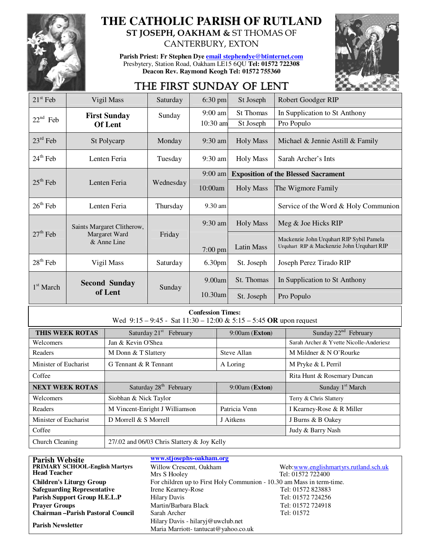

# **THE CATHOLIC PARISH OF RUTLAND**

**ST JOSEPH, OAKHAM &** ST THOMAS OF CANTERBURY, EXTON

**Parish Priest: Fr Stephen Dye email stephendye@btinternet.com** Presbytery, Station Road, Oakham LE15 6QU **Tel: 01572 722308 Deacon Rev. Raymond Keogh Tel: 01572 755360** 



## THE FIRST SUNDAY OF LENT

| $21st$ Feb            | Vigil Mass                      | Saturday  | $6:30$ pm          | St Joseph                                  | Robert Goodger RIP                                                                     |
|-----------------------|---------------------------------|-----------|--------------------|--------------------------------------------|----------------------------------------------------------------------------------------|
|                       | <b>First Sunday</b>             | Sunday    | $9:00$ am          | <b>St Thomas</b>                           | In Supplication to St Anthony                                                          |
| $22nd$ Feb            | <b>Of Lent</b>                  |           | $10:30$ am         | St Joseph                                  | Pro Populo                                                                             |
| $23rd$ Feb            | St Polycarp                     | Monday    | $9:30$ am          | <b>Holy Mass</b>                           | Michael & Jennie Astill & Family                                                       |
| $24th$ Feb            | Lenten Feria                    | Tuesday   | $9:30 \text{ am}$  | <b>Holy Mass</b>                           | Sarah Archer's Ints                                                                    |
|                       | Lenten Feria                    | Wednesday | $9:00$ am          | <b>Exposition of the Blessed Sacrament</b> |                                                                                        |
| $25th$ Feb            |                                 |           | 10:00am            | <b>Holy Mass</b>                           | The Wigmore Family                                                                     |
| $26th$ Feb            | Lenten Feria                    | Thursday  | 9.30 am            |                                            | Service of the Word & Holy Communion                                                   |
|                       | Saints Margaret Clitherow,      |           | $9:30$ am          | <b>Holy Mass</b>                           | Meg & Joe Hicks RIP                                                                    |
| $27th$ Feb            | Margaret Ward<br>& Anne Line    | Friday    | $7:00$ pm          | Latin Mass                                 | Mackenzie John Urquhart RIP Sybil Pamela<br>Urquhart RIP & Mackenzie John Urquhart RIP |
| $28th$ Feb            | Vigil Mass                      | Saturday  | 6.30 <sub>pm</sub> | St. Joseph                                 | Joseph Perez Tirado RIP                                                                |
| 1 <sup>st</sup> March | <b>Second Sunday</b><br>of Lent | Sunday    | 9.00am             | St. Thomas                                 | In Supplication to St Anthony                                                          |
|                       |                                 |           | $10.30$ am         | St. Joseph                                 | Pro Populo                                                                             |

#### **Confession Times:**

Wed 9:15 – 9:45 - Sat 11:30 – 12:00 & 5:15 – 5:45 **OR** upon request

| THIS WEEK ROTAS        | Saturday 21 <sup>st</sup> February          | $9:00$ am (Exton) | Sunday 22 <sup>nd</sup> February        |
|------------------------|---------------------------------------------|-------------------|-----------------------------------------|
| Welcomers              | Jan & Kevin O'Shea                          |                   | Sarah Archer & Yvette Nicolle-Anderiesz |
| Readers                | M Donn & T Slattery                         | Steve Allan       | M Mildner & N O'Rourke                  |
| Minister of Eucharist  | G Tennant & R Tennant                       | A Loring          | M Pryke & L Perril                      |
| Coffee                 |                                             |                   | Rita Hunt & Rosemary Duncan             |
| <b>NEXT WEEK ROTAS</b> | Saturday 28 <sup>th</sup> February          | $9:00$ am (Exton) | Sunday 1 <sup>st</sup> March            |
| Welcomers              | Siobhan & Nick Taylor                       |                   | Terry & Chris Slattery                  |
| Readers                | M Vincent-Enright J Williamson              | Patricia Venn     | I Kearney-Rose & R Miller               |
| Minister of Eucharist  | D Morrell $&$ S Morrell                     | J Aitkens         | J Burns & B Oakey                       |
| Coffee                 |                                             |                   | Judy & Barry Nash                       |
| Church Cleaning        | 27/.02 and 06/03 Chris Slattery & Joy Kelly |                   |                                         |

| <b>Parish Website</b>                   | www.stjosephs-oakham.org                                              |                                       |  |
|-----------------------------------------|-----------------------------------------------------------------------|---------------------------------------|--|
| <b>PRIMARY SCHOOL-English Martyrs</b>   | Willow Crescent, Oakham                                               | Web:www.englishmartyrs.rutland.sch.uk |  |
| <b>Head Teacher</b>                     | Mrs S Hooley                                                          | Tel: 01572 722400                     |  |
| <b>Children's Liturgy Group</b>         | For children up to First Holy Communion - 10.30 am Mass in term-time. |                                       |  |
| <b>Safeguarding Representative</b>      | Irene Kearney-Rose                                                    | Tel: 01572 823883                     |  |
| Parish Support Group H.E.L.P            | <b>Hilary Davis</b>                                                   | Tel: 01572 724256                     |  |
| <b>Prayer Groups</b>                    | Martin/Barbara Black                                                  | Tel: 01572 724918                     |  |
| <b>Chairman-Parish Pastoral Council</b> | Sarah Archer                                                          | Tel: 01572                            |  |
| <b>Parish Newsletter</b>                | Hilary Davis - hilaryj@uwclub.net                                     |                                       |  |
|                                         | Maria Marriott-tantucat@yahoo.co.uk                                   |                                       |  |